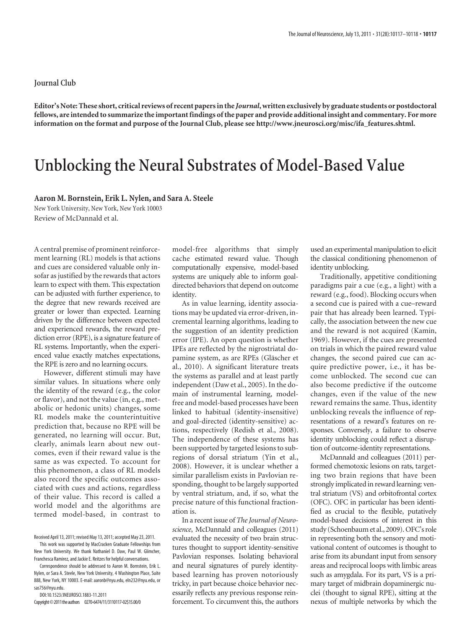**Editor's Note: These short, critical reviews of recent papers in the** *Journal***, written exclusively by graduate students or postdoctoral fellows, are intended to summarize the important findings of the paper and provide additional insight and commentary. For more information on the format and purpose of the Journal Club, please see http://www.jneurosci.org/misc/ifa\_features.shtml.**

## **Unblocking the Neural Substrates of Model-Based Value**

## **Aaron M. Bornstein, Erik L. Nylen, and Sara A. Steele**

New York University, New York, New York 10003 Review of McDannald et al.

A central premise of prominent reinforcement learning (RL) models is that actions and cues are considered valuable only insofar as justified by the rewards that actors learn to expect with them. This expectation can be adjusted with further experience, to the degree that new rewards received are greater or lower than expected. Learning driven by the difference between expected and experienced rewards, the reward prediction error (RPE), is a signature feature of RL systems. Importantly, when the experienced value exactly matches expectations, the RPE is zero and no learning occurs.

However, different stimuli may have similar values. In situations where only the identity of the reward (e.g., the color or flavor), and not the value (in, e.g., metabolic or hedonic units) changes, some RL models make the counterintuitive prediction that, because no RPE will be generated, no learning will occur. But, clearly, animals learn about new outcomes, even if their reward value is the same as was expected. To account for this phenomenon, a class of RL models also record the specific outcomes associated with cues and actions, regardless of their value. This record is called a world model and the algorithms are termed model-based, in contrast to

DOI:10.1523/JNEUROSCI.1883-11.2011

Copyright©2011theauthors 0270-6474/11/3110117-02\$15.00/0

model-free algorithms that simply cache estimated reward value. Though computationally expensive, model-based systems are uniquely able to inform goaldirected behaviors that depend on outcome identity.

As in value learning, identity associations may be updated via error-driven, incremental learning algorithms, leading to the suggestion of an identity prediction error (IPE). An open question is whether IPEs are reflected by the nigrostriatal dopamine system, as are RPEs (Gläscher et al., 2010). A significant literature treats the systems as parallel and at least partly independent (Daw et al., 2005). In the domain of instrumental learning, modelfree and model-based processes have been linked to habitual (identity-insensitive) and goal-directed (identity-sensitive) actions, respectively (Redish et al., 2008). The independence of these systems has been supported by targeted lesions to subregions of dorsal striatum (Yin et al., 2008). However, it is unclear whether a similar parallelism exists in Pavlovian responding, thought to be largely supported by ventral striatum, and, if so, what the precise nature of this functional fractionation is.

In a recent issue of *The Journal of Neuroscience*, McDannald and colleagues (2011) evaluated the necessity of two brain structures thought to support identity-sensitive Pavlovian responses. Isolating behavioral and neural signatures of purely identitybased learning has proven notoriously tricky, in part because choice behavior necessarily reflects any previous response reinforcement. To circumvent this, the authors used an experimental manipulation to elicit the classical conditioning phenomenon of identity unblocking.

Traditionally, appetitive conditioning paradigms pair a cue (e.g., a light) with a reward (e.g., food). Blocking occurs when a second cue is paired with a cue–reward pair that has already been learned. Typically, the association between the new cue and the reward is not acquired (Kamin, 1969). However, if the cues are presented on trials in which the paired reward value changes, the second paired cue can acquire predictive power, i.e., it has become unblocked. The second cue can also become predictive if the outcome changes, even if the value of the new reward remains the same. Thus, identity unblocking reveals the influence of representations of a reward's features on responses. Conversely, a failure to observe identity unblocking could reflect a disruption of outcome-identity representations.

McDannald and colleagues (2011) performed chemotoxic lesions on rats, targeting two brain regions that have been strongly implicated in reward learning: ventral striatum (VS) and orbitofrontal cortex (OFC). OFC in particular has been identified as crucial to the flexible, putatively model-based decisions of interest in this study (Schoenbaum et al., 2009). OFC's role in representing both the sensory and motivational content of outcomes is thought to arise from its abundant input from sensory areas and reciprocal loops with limbic areas such as amygdala. For its part, VS is a primary target of midbrain dopaminergic nuclei (thought to signal RPE), sitting at the nexus of multiple networks by which the

Received April 13, 2011; revised May 13, 2011; accepted May 23, 2011.

This work was supported by MacCracken Graduate Fellowships from New York University. We thank Nathaniel D. Daw, Paul W. Glimcher, Franchesca Ramirez, and Jackie E. Reitzes for helpful conversations.

Correspondence should be addressed to Aaron M. Bornstein, Erik L. Nylen, or Sara A. Steele, New York University, 4 Washington Place, Suite 888, New York, NY 10003. E-mail: aaronb@nyu.edu, eln232@nyu.edu, or sas756@nyu.edu.